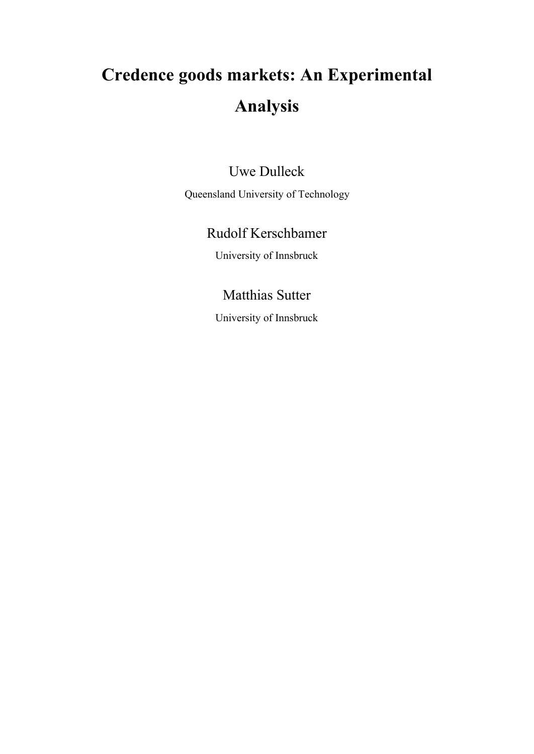# **Credence goods markets: An Experimental Analysis**

## Uwe Dulleck

Queensland University of Technology

# Rudolf Kerschbamer

University of Innsbruck

## Matthias Sutter

University of Innsbruck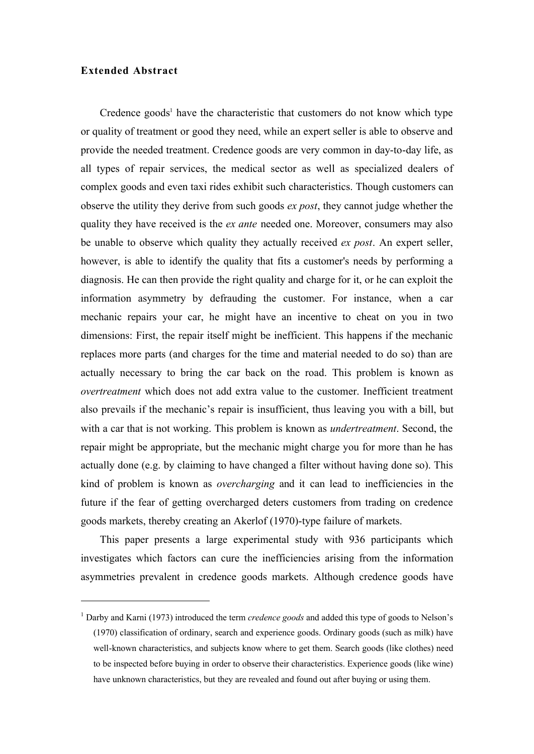#### **Extended Abstract**

 $\overline{a}$ 

Credence goods<sup>1</sup> have the characteristic that customers do not know which type or quality of treatment or good they need, while an expert seller is able to observe and provide the needed treatment. Credence goods are very common in day-to-day life, as all types of repair services, the medical sector as well as specialized dealers of complex goods and even taxi rides exhibit such characteristics. Though customers can observe the utility they derive from such goods *ex post*, they cannot judge whether the quality they have received is the *ex ante* needed one. Moreover, consumers may also be unable to observe which quality they actually received *ex post*. An expert seller, however, is able to identify the quality that fits a customer's needs by performing a diagnosis. He can then provide the right quality and charge for it, or he can exploit the information asymmetry by defrauding the customer. For instance, when a car mechanic repairs your car, he might have an incentive to cheat on you in two dimensions: First, the repair itself might be inefficient. This happens if the mechanic replaces more parts (and charges for the time and material needed to do so) than are actually necessary to bring the car back on the road. This problem is known as *overtreatment* which does not add extra value to the customer. Inefficient treatment also prevails if the mechanic's repair is insufficient, thus leaving you with a bill, but with a car that is not working. This problem is known as *undertreatment*. Second, the repair might be appropriate, but the mechanic might charge you for more than he has actually done (e.g. by claiming to have changed a filter without having done so). This kind of problem is known as *overcharging* and it can lead to inefficiencies in the future if the fear of getting overcharged deters customers from trading on credence goods markets, thereby creating an Akerlof (1970)-type failure of markets.

This paper presents a large experimental study with 936 participants which investigates which factors can cure the inefficiencies arising from the information asymmetries prevalent in credence goods markets. Although credence goods have

<sup>&</sup>lt;sup>1</sup> Darby and Karni (1973) introduced the term *credence goods* and added this type of goods to Nelson's (1970) classification of ordinary, search and experience goods. Ordinary goods (such as milk) have well-known characteristics, and subjects know where to get them. Search goods (like clothes) need to be inspected before buying in order to observe their characteristics. Experience goods (like wine) have unknown characteristics, but they are revealed and found out after buying or using them.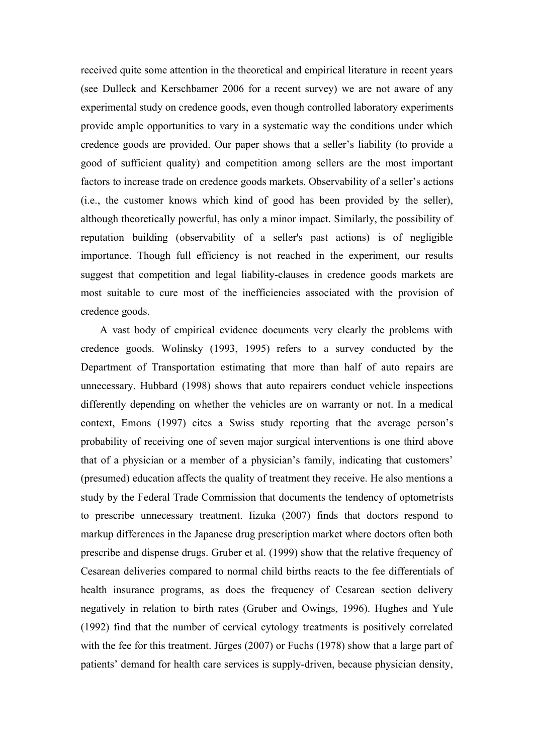received quite some attention in the theoretical and empirical literature in recent years (see Dulleck and Kerschbamer 2006 for a recent survey) we are not aware of any experimental study on credence goods, even though controlled laboratory experiments provide ample opportunities to vary in a systematic way the conditions under which credence goods are provided. Our paper shows that a seller's liability (to provide a good of sufficient quality) and competition among sellers are the most important factors to increase trade on credence goods markets. Observability of a seller's actions (i.e., the customer knows which kind of good has been provided by the seller), although theoretically powerful, has only a minor impact. Similarly, the possibility of reputation building (observability of a seller's past actions) is of negligible importance. Though full efficiency is not reached in the experiment, our results suggest that competition and legal liability-clauses in credence goods markets are most suitable to cure most of the inefficiencies associated with the provision of credence goods.

A vast body of empirical evidence documents very clearly the problems with credence goods. Wolinsky (1993, 1995) refers to a survey conducted by the Department of Transportation estimating that more than half of auto repairs are unnecessary. Hubbard (1998) shows that auto repairers conduct vehicle inspections differently depending on whether the vehicles are on warranty or not. In a medical context, Emons (1997) cites a Swiss study reporting that the average person's probability of receiving one of seven major surgical interventions is one third above that of a physician or a member of a physician's family, indicating that customers' (presumed) education affects the quality of treatment they receive. He also mentions a study by the Federal Trade Commission that documents the tendency of optometrists to prescribe unnecessary treatment. Iizuka (2007) finds that doctors respond to markup differences in the Japanese drug prescription market where doctors often both prescribe and dispense drugs. Gruber et al. (1999) show that the relative frequency of Cesarean deliveries compared to normal child births reacts to the fee differentials of health insurance programs, as does the frequency of Cesarean section delivery negatively in relation to birth rates (Gruber and Owings, 1996). Hughes and Yule (1992) find that the number of cervical cytology treatments is positively correlated with the fee for this treatment. Jürges (2007) or Fuchs (1978) show that a large part of patients' demand for health care services is supply-driven, because physician density,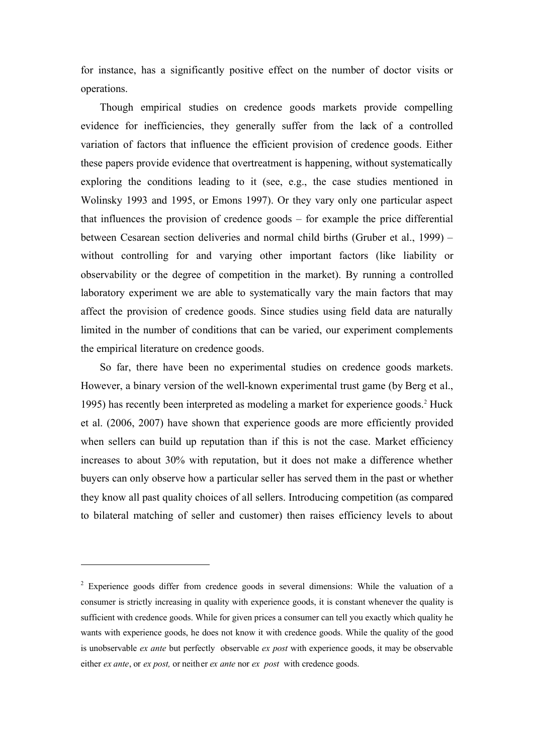for instance, has a significantly positive effect on the number of doctor visits or operations.

Though empirical studies on credence goods markets provide compelling evidence for inefficiencies, they generally suffer from the lack of a controlled variation of factors that influence the efficient provision of credence goods. Either these papers provide evidence that overtreatment is happening, without systematically exploring the conditions leading to it (see, e.g., the case studies mentioned in Wolinsky 1993 and 1995, or Emons 1997). Or they vary only one particular aspect that influences the provision of credence goods – for example the price differential between Cesarean section deliveries and normal child births (Gruber et al., 1999) – without controlling for and varying other important factors (like liability or observability or the degree of competition in the market). By running a controlled laboratory experiment we are able to systematically vary the main factors that may affect the provision of credence goods. Since studies using field data are naturally limited in the number of conditions that can be varied, our experiment complements the empirical literature on credence goods.

So far, there have been no experimental studies on credence goods markets. However, a binary version of the well-known experimental trust game (by Berg et al., 1995) has recently been interpreted as modeling a market for experience goods.<sup>2</sup> Huck et al. (2006, 2007) have shown that experience goods are more efficiently provided when sellers can build up reputation than if this is not the case. Market efficiency increases to about 30% with reputation, but it does not make a difference whether buyers can only observe how a particular seller has served them in the past or whether they know all past quality choices of all sellers. Introducing competition (as compared to bilateral matching of seller and customer) then raises efficiency levels to about

 $\overline{a}$ 

<sup>&</sup>lt;sup>2</sup> Experience goods differ from credence goods in several dimensions: While the valuation of a consumer is strictly increasing in quality with experience goods, it is constant whenever the quality is sufficient with credence goods. While for given prices a consumer can tell you exactly which quality he wants with experience goods, he does not know it with credence goods. While the quality of the good is unobservable *ex ante* but perfectly observable *ex post* with experience goods, it may be observable either *ex ante*, or *ex post,* or neither *ex ante* nor *ex post* with credence goods.